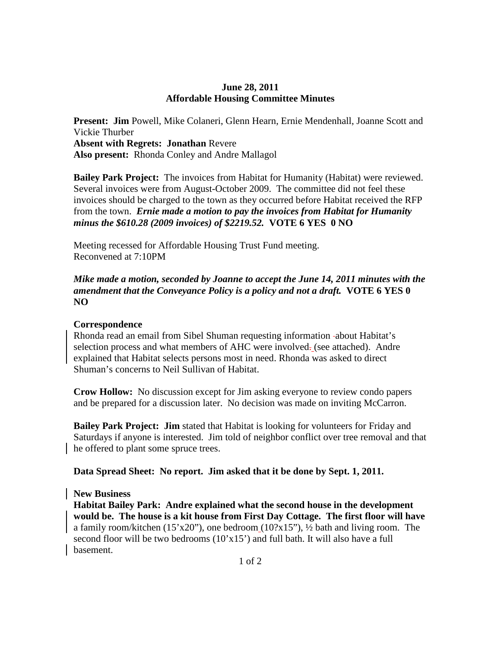#### **June 28, 2011 Affordable Housing Committee Minutes**

**Present: Jim** Powell, Mike Colaneri, Glenn Hearn, Ernie Mendenhall, Joanne Scott and Vickie Thurber **Absent with Regrets: Jonathan** Revere **Also present:** Rhonda Conley and Andre Mallagol

**Bailey Park Project:** The invoices from Habitat for Humanity (Habitat) were reviewed. Several invoices were from August-October 2009. The committee did not feel these invoices should be charged to the town as they occurred before Habitat received the RFP from the town. *Ernie made a motion to pay the invoices from Habitat for Humanity minus the \$610.28 (2009 invoices) of \$2219.52.* **VOTE 6 YES 0 NO** 

Meeting recessed for Affordable Housing Trust Fund meeting. Reconvened at 7:10PM

*Mike made a motion, seconded by Joanne to accept the June 14, 2011 minutes with the amendment that the Conveyance Policy is a policy and not a draft.* **VOTE 6 YES 0 NO** 

### **Correspondence**

Rhonda read an email from Sibel Shuman requesting information about Habitat's selection process and what members of AHC were involved- (see attached). Andre explained that Habitat selects persons most in need. Rhonda was asked to direct Shuman's concerns to Neil Sullivan of Habitat.

**Crow Hollow:** No discussion except for Jim asking everyone to review condo papers and be prepared for a discussion later. No decision was made on inviting McCarron.

**Bailey Park Project: Jim** stated that Habitat is looking for volunteers for Friday and Saturdays if anyone is interested. Jim told of neighbor conflict over tree removal and that he offered to plant some spruce trees.

**Data Spread Sheet: No report. Jim asked that it be done by Sept. 1, 2011.** 

### **New Business**

**Habitat Bailey Park: Andre explained what the second house in the development would be. The house is a kit house from First Day Cottage. The first floor will have**  a family room/kitchen (15'x20"), one bedroom  $(10?x15")$ ,  $\frac{1}{2}$  bath and living room. The second floor will be two bedrooms (10'x15') and full bath. It will also have a full basement.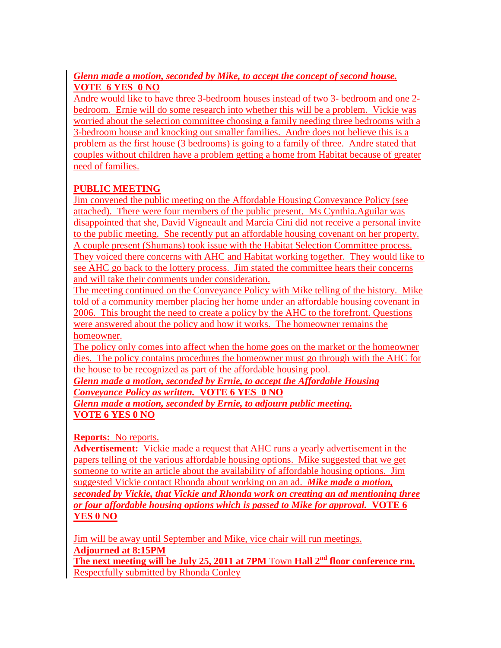## *Glenn made a motion, seconded by Mike, to accept the concept of second house.*  **VOTE 6 YES 0 NO**

Andre would like to have three 3-bedroom houses instead of two 3- bedroom and one 2 bedroom. Ernie will do some research into whether this will be a problem. Vickie was worried about the selection committee choosing a family needing three bedrooms with a 3-bedroom house and knocking out smaller families. Andre does not believe this is a problem as the first house (3 bedrooms) is going to a family of three. Andre stated that couples without children have a problem getting a home from Habitat because of greater need of families.

# **PUBLIC MEETING**

Jim convened the public meeting on the Affordable Housing Conveyance Policy (see attached). There were four members of the public present. Ms Cynthia.Aguilar was disappointed that she, David Vigneault and Marcia Cini did not receive a personal invite to the public meeting. She recently put an affordable housing covenant on her property. A couple present (Shumans) took issue with the Habitat Selection Committee process. They voiced there concerns with AHC and Habitat working together. They would like to see AHC go back to the lottery process. Jim stated the committee hears their concerns and will take their comments under consideration.

The meeting continued on the Conveyance Policy with Mike telling of the history. Mike told of a community member placing her home under an affordable housing covenant in 2006. This brought the need to create a policy by the AHC to the forefront. Questions were answered about the policy and how it works. The homeowner remains the homeowner.

The policy only comes into affect when the home goes on the market or the homeowner dies. The policy contains procedures the homeowner must go through with the AHC for the house to be recognized as part of the affordable housing pool.

*Glenn made a motion, seconded by Ernie, to accept the Affordable Housing Conveyance Policy as written.* **VOTE 6 YES 0 NO** 

*Glenn made a motion, seconded by Ernie, to adjourn public meeting.*  **VOTE 6 YES 0 NO**

**Reports:** No reports.

**Advertisement:** Vickie made a request that AHC runs a yearly advertisement in the papers telling of the various affordable housing options. Mike suggested that we get someone to write an article about the availability of affordable housing options. Jim suggested Vickie contact Rhonda about working on an ad. *Mike made a motion, seconded by Vickie, that Vickie and Rhonda work on creating an ad mentioning three or four affordable housing options which is passed to Mike for approval.* **VOTE 6 YES 0 NO** 

Jim will be away until September and Mike, vice chair will run meetings. **Adjourned at 8:15PM** 

**The next meeting will be July 25, 2011 at 7PM** Town **Hall 2nd floor conference rm.**  Respectfully submitted by Rhonda Conley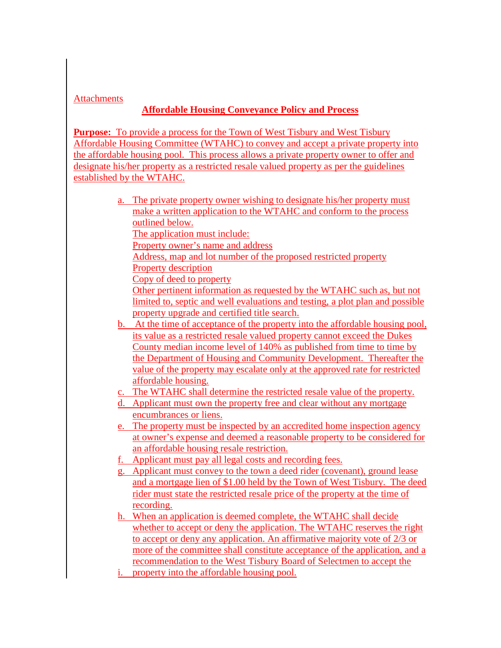### **Attachments**

## **Affordable Housing Conveyance Policy and Process**

**Purpose:** To provide a process for the Town of West Tisbury and West Tisbury Affordable Housing Committee (WTAHC) to convey and accept a private property into the affordable housing pool. This process allows a private property owner to offer and designate his/her property as a restricted resale valued property as per the guidelines established by the WTAHC.

- a. The private property owner wishing to designate his/her property must make a written application to the WTAHC and conform to the process outlined below.
	- The application must include:
	- Property owner's name and address
	- Address, map and lot number of the proposed restricted property
	- Property description
	- Copy of deed to property
	- Other pertinent information as requested by the WTAHC such as, but not limited to, septic and well evaluations and testing, a plot plan and possible property upgrade and certified title search.
- b. At the time of acceptance of the property into the affordable housing pool, its value as a restricted resale valued property cannot exceed the Dukes County median income level of 140% as published from time to time by the Department of Housing and Community Development. Thereafter the value of the property may escalate only at the approved rate for restricted affordable housing.
- c. The WTAHC shall determine the restricted resale value of the property.
- d. Applicant must own the property free and clear without any mortgage encumbrances or liens.
- e. The property must be inspected by an accredited home inspection agency at owner's expense and deemed a reasonable property to be considered for an affordable housing resale restriction.
- f. Applicant must pay all legal costs and recording fees.
- g. Applicant must convey to the town a deed rider (covenant), ground lease and a mortgage lien of \$1.00 held by the Town of West Tisbury. The deed rider must state the restricted resale price of the property at the time of recording.
- h. When an application is deemed complete, the WTAHC shall decide whether to accept or deny the application. The WTAHC reserves the right to accept or deny any application. An affirmative majority vote of 2/3 or more of the committee shall constitute acceptance of the application, and a recommendation to the West Tisbury Board of Selectmen to accept the
- i. property into the affordable housing pool.